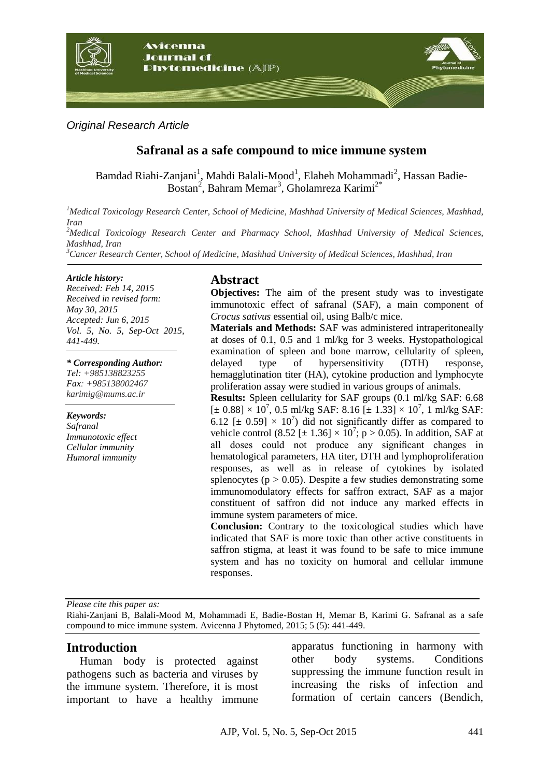

*Original Research Article*

## **Safranal as a safe compound to mice immune system**

Bamdad Riahi-Zanjani<sup>1</sup>, Mahdi Balali-Mood<sup>1</sup>, Elaheh Mohammadi<sup>2</sup>, Hassan Badie-Bostan<sup>2</sup>, Bahram Memar<sup>3</sup>, Gholamreza Karimi<sup>2\*</sup>

*<sup>1</sup>Medical Toxicology Research Center, School of Medicine, Mashhad University of Medical Sciences, Mashhad, Iran <sup>2</sup>Medical Toxicology Research Center and Pharmacy School, Mashhad University of Medical Sciences, Mashhad, Iran <sup>3</sup>Cancer Research Center, School of Medicine, Mashhad University of Medical Sciences, Mashhad, Iran*

#### *Article history:*

*Received: Feb 14, 2015 Received in revised form: May 30, 2015 Accepted: Jun 6, 2015 Vol. 5, No. 5, Sep-Oct 2015, 441-449.*

#### *\* Corresponding Author:*

*Tel: +985138823255 Fax: +985138002467 karimig@mums.ac.ir*

*Keywords: Safranal Immunotoxic effect Cellular immunity Humoral immunity*

## **Abstract**

**Objectives:** The aim of the present study was to investigate immunotoxic effect of safranal (SAF), a main component of *Crocus sativus* essential oil, using Balb/c mice.

**Materials and Methods:** SAF was administered intraperitoneally at doses of 0.1, 0.5 and 1 ml/kg for 3 weeks. Hystopathological examination of spleen and bone marrow, cellularity of spleen, delayed type of hypersensitivity (DTH) response, hemagglutination titer (HA), cytokine production and lymphocyte proliferation assay were studied in various groups of animals.

**Results:** Spleen cellularity for SAF groups (0.1 ml/kg SAF: 6.68  $[\pm 0.88] \times 10^7$ , 0.5 ml/kg SAF: 8.16  $[\pm 1.33] \times 10^7$ , 1 ml/kg SAF: 6.12 [ $\pm$  0.59]  $\times$  10<sup>7</sup>) did not significantly differ as compared to vehicle control (8.52 [ $\pm$  1.36]  $\times$  10<sup>7</sup>; p > 0.05). In addition, SAF at all doses could not produce any significant changes in hematological parameters, HA titer, DTH and lymphoproliferation responses, as well as in release of cytokines by isolated splenocytes ( $p > 0.05$ ). Despite a few studies demonstrating some immunomodulatory effects for saffron extract, SAF as a major constituent of saffron did not induce any marked effects in immune system parameters of mice.

**Conclusion:** Contrary to the toxicological studies which have indicated that SAF is more toxic than other active constituents in saffron stigma, at least it was found to be safe to mice immune system and has no toxicity on humoral and cellular immune responses.

*Please cite this paper as:* 

Riahi-Zanjani B, Balali-Mood M, Mohammadi E, Badie-Bostan H, Memar B, Karimi G. Safranal as a safe compound to mice immune system. Avicenna J Phytomed, 2015; 5 (5): 441-449.

## **Introduction**

Human body is protected against pathogens such as bacteria and viruses by the immune system. Therefore, it is most important to have a healthy immune

apparatus functioning in harmony with other body systems. Conditions suppressing the immune function result in increasing the risks of infection and formation of certain cancers (Bendich,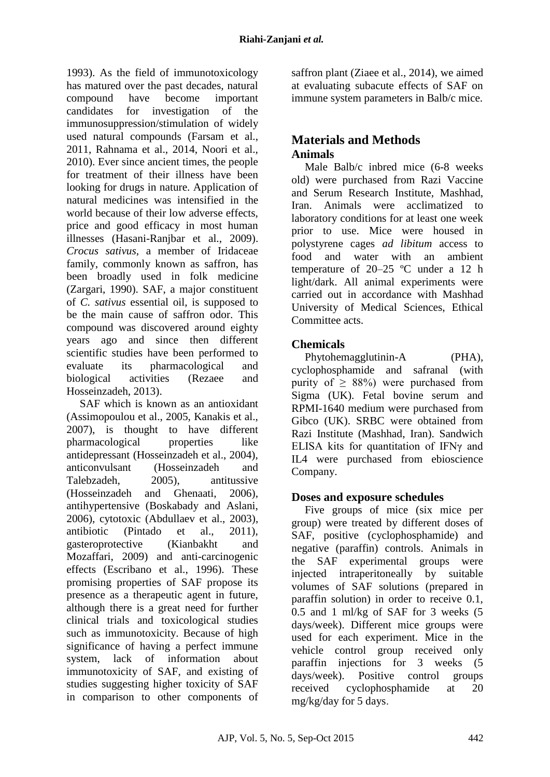1993). As the field of immunotoxicology has matured over the past decades, natural compound have become important candidates for investigation of the immunosuppression/stimulation of widely used natural compounds (Farsam et al., 2011, Rahnama et al., 2014, Noori et al., 2010). Ever since ancient times, the people for treatment of their illness have been looking for drugs in nature. Application of natural medicines was intensified in the world because of their low adverse effects, price and good efficacy in most human illnesses (Hasani-Ranjbar et al., 2009). *Crocus sativus,* a member of Iridaceae family, commonly known as saffron, has been broadly used in folk medicine (Zargari, 1990). SAF, a major constituent of *C. sativus* essential oil, is supposed to be the main cause of saffron odor. This compound was discovered around eighty years ago and since then different scientific studies have been performed to evaluate its pharmacological and biological activities (Rezaee and Hosseinzadeh, 2013).

SAF which is known as an antioxidant (Assimopoulou et al., 2005, Kanakis et al., 2007), is thought to have different pharmacological properties like antidepressant (Hosseinzadeh et al., 2004), anticonvulsant (Hosseinzadeh and Talebzadeh, 2005), antitussive (Hosseinzadeh and Ghenaati, 2006), antihypertensive (Boskabady and Aslani, 2006), cytotoxic (Abdullaev et al., 2003), antibiotic (Pintado et al., 2011), gasteroprotective (Kianbakht and Mozaffari, 2009) and anti-carcinogenic effects (Escribano et al., 1996). These promising properties of SAF propose its presence as a therapeutic agent in future, although there is a great need for further clinical trials and toxicological studies such as immunotoxicity. Because of high significance of having a perfect immune system, lack of information about immunotoxicity of SAF, and existing of studies suggesting higher toxicity of SAF in comparison to other components of saffron plant (Ziaee et al., 2014), we aimed at evaluating subacute effects of SAF on immune system parameters in Balb/c mice.

# **Materials and Methods Animals**

Male Balb/c inbred mice (6-8 weeks old) were purchased from Razi Vaccine and Serum Research Institute, Mashhad, Iran. Animals were acclimatized to laboratory conditions for at least one week prior to use. Mice were housed in polystyrene cages *ad libitum* access to food and water with an ambient temperature of 20–25 ºC under a 12 h light/dark. All animal experiments were carried out in accordance with Mashhad University of Medical Sciences, Ethical Committee acts.

# **Chemicals**

Phytohemagglutinin-A (PHA), cyclophosphamide and safranal (with purity of  $\geq 88\%$ ) were purchased from Sigma (UK). Fetal bovine serum and RPMI-1640 medium were purchased from Gibco (UK). SRBC were obtained from Razi Institute (Mashhad, Iran). Sandwich ELISA kits for quantitation of IFNγ and IL4 were purchased from ebioscience Company.

# **Doses and exposure schedules**

Five groups of mice (six mice per group) were treated by different doses of SAF, positive (cyclophosphamide) and negative (paraffin) controls. Animals in the SAF experimental groups were injected intraperitoneally by suitable volumes of SAF solutions (prepared in paraffin solution) in order to receive 0.1, 0.5 and 1 ml/kg of SAF for 3 weeks (5 days/week). Different mice groups were used for each experiment. Mice in the vehicle control group received only paraffin injections for 3 weeks (5 days/week). Positive control groups received cyclophosphamide at 20 mg/kg/day for 5 days.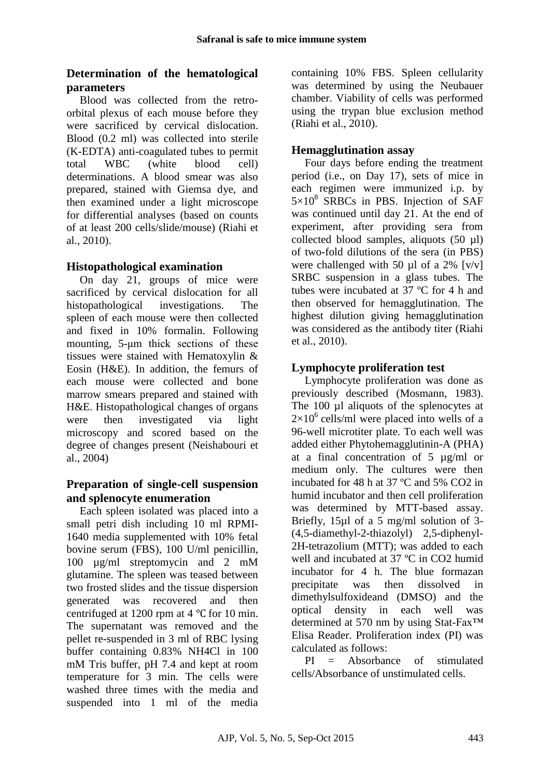## **Determination of the hematological parameters**

Blood was collected from the retroorbital plexus of each mouse before they were sacrificed by cervical dislocation. Blood (0.2 ml) was collected into sterile (K-EDTA) anti-coagulated tubes to permit total WBC (white blood cell) determinations. A blood smear was also prepared, stained with Giemsa dye, and then examined under a light microscope for differential analyses (based on counts of at least 200 cells/slide/mouse) (Riahi et al., 2010).

## **Histopathological examination**

On day 21, groups of mice were sacrificed by cervical dislocation for all histopathological investigations. The spleen of each mouse were then collected and fixed in 10% formalin. Following mounting, 5-μm thick sections of these tissues were stained with Hematoxylin & Eosin (H&E). In addition, the femurs of each mouse were collected and bone marrow smears prepared and stained with H&E. Histopathological changes of organs were then investigated via light microscopy and scored based on the degree of changes present (Neishabouri et al., 2004)

## **Preparation of single-cell suspension and splenocyte enumeration**

Each spleen isolated was placed into a small petri dish including 10 ml RPMI-1640 media supplemented with 10% fetal bovine serum (FBS), 100 U/ml penicillin, 100 µg/ml streptomycin and 2 mM glutamine. The spleen was teased between two frosted slides and the tissue dispersion generated was recovered and then centrifuged at 1200 rpm at 4 ℃ for 10 min. The supernatant was removed and the pellet re-suspended in 3 ml of RBC lysing buffer containing 0.83% NH4Cl in 100 mM Tris buffer, pH 7.4 and kept at room temperature for 3 min. The cells were washed three times with the media and suspended into 1 ml of the media containing 10% FBS. Spleen cellularity was determined by using the Neubauer chamber. Viability of cells was performed using the trypan blue exclusion method (Riahi et al., 2010).

## **Hemagglutination assay**

Four days before ending the treatment period (i.e., on Day 17), sets of mice in each regimen were immunized i.p. by  $5\times10^8$  SRBCs in PBS. Injection of SAF was continued until day 21. At the end of experiment, after providing sera from collected blood samples, aliquots (50 µl) of two-fold dilutions of the sera (in PBS) were challenged with 50  $\mu$ l of a 2% [v/v] SRBC suspension in a glass tubes. The tubes were incubated at 37 ºC for 4 h and then observed for hemagglutination. The highest dilution giving hemagglutination was considered as the antibody titer (Riahi et al., 2010).

## **Lymphocyte proliferation test**

Lymphocyte proliferation was done as previously described (Mosmann, 1983). The 100 µl aliquots of the splenocytes at  $2\times10^6$  cells/ml were placed into wells of a 96-well microtiter plate. To each well was added either Phytohemagglutinin-A (PHA) at a final concentration of 5 µg/ml or medium only. The cultures were then incubated for 48 h at 37 ºC and 5% CO2 in humid incubator and then cell proliferation was determined by MTT-based assay. Briefly, 15µl of a 5 mg/ml solution of 3- (4,5-diamethyl-2-thiazolyl) 2,5-diphenyl-2H-tetrazolium (MTT); was added to each well and incubated at 37 ºC in CO2 humid incubator for 4 h. The blue formazan precipitate was then dissolved in dimethylsulfoxideand (DMSO) and the optical density in each well was determined at 570 nm by using Stat-Fax™ Elisa Reader. Proliferation index (PI) was calculated as follows:

PI = Absorbance of stimulated cells/Absorbance of unstimulated cells.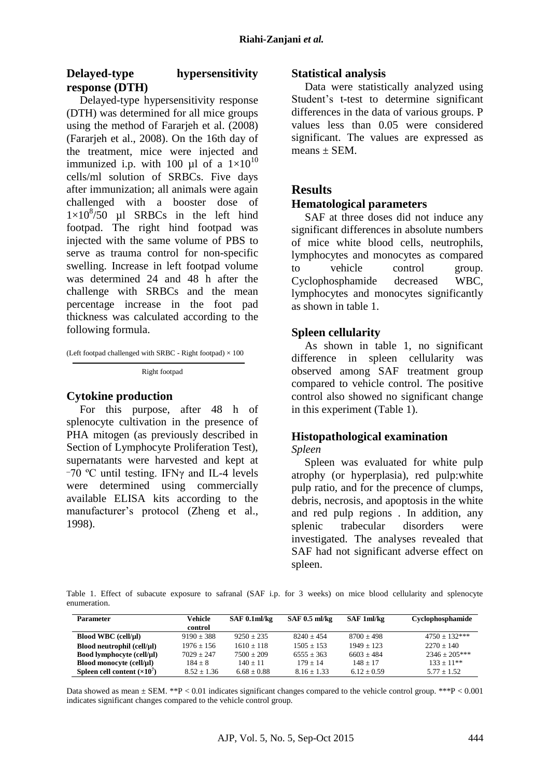## **Delayed-type hypersensitivity response (DTH)**

Delayed-type hypersensitivity response (DTH) was determined for all mice groups using the method of Fararjeh et al. (2008) (Fararjeh et al., 2008). On the 16th day of the treatment, mice were injected and immunized i.p. with 100 µl of a  $1\times10^{10}$ cells/ml solution of SRBCs. Five days after immunization; all animals were again challenged with a booster dose of  $1\times10^8/50$  µl SRBCs in the left hind footpad. The right hind footpad was injected with the same volume of PBS to serve as trauma control for non-specific swelling. Increase in left footpad volume was determined 24 and 48 h after the challenge with SRBCs and the mean percentage increase in the foot pad thickness was calculated according to the following formula.

(Left footpad challenged with SRBC - Right footpad)  $\times$  100

Right footpad

#### **Cytokine production**

For this purpose, after 48 h of splenocyte cultivation in the presence of PHA mitogen (as previously described in Section of Lymphocyte Proliferation Test), supernatants were harvested and kept at  $-70$  °C until testing. IFN $\gamma$  and IL-4 levels were determined using commercially available ELISA kits according to the manufacturer's protocol (Zheng et al., 1998).

#### **Statistical analysis**

Data were statistically analyzed using Student's t-test to determine significant differences in the data of various groups. P values less than 0.05 were considered significant. The values are expressed as  $means + SEM$ .

### **Results**

#### **Hematological parameters**

SAF at three doses did not induce any significant differences in absolute numbers of mice white blood cells, neutrophils, lymphocytes and monocytes as compared to vehicle control group. Cyclophosphamide decreased WBC, lymphocytes and monocytes significantly as shown in table 1.

#### **Spleen cellularity**

As shown in table 1, no significant difference in spleen cellularity was observed among SAF treatment group compared to vehicle control. The positive control also showed no significant change in this experiment (Table 1).

# **Histopathological examination**

#### *Spleen*

Spleen was evaluated for white pulp atrophy (or hyperplasia), red pulp:white pulp ratio, and for the precence of clumps, debris, necrosis, and apoptosis in the white and red pulp regions . In addition, any splenic trabecular disorders were investigated. The analyses revealed that SAF had not significant adverse effect on spleen.

Table 1. Effect of subacute exposure to safranal (SAF i.p. for 3 weeks) on mice blood cellularity and splenocyte enumeration.

| <b>Parameter</b>            | Vehicle<br>control | SAF 0.1ml/kg    | $SAF$ 0.5 ml/kg | SAF 1ml/kg    | Cyclophosphamide |
|-----------------------------|--------------------|-----------------|-----------------|---------------|------------------|
| Blood WBC (cell/µl)         | $9190 + 388$       | $9250 + 235$    | $8240 + 454$    | $8700 + 498$  | $4750 + 132***$  |
| Blood neutrophil (cell/µl)  | $1976 + 156$       | $1610 + 118$    | $1505 + 153$    | $1949 + 123$  | $2270 + 140$     |
| Bood lymphocyte (cell/µl)   | $7029 + 247$       | $7500 + 209$    | $6555 + 363$    | $6603 + 484$  | $2346 + 205***$  |
| Blood monocyte (cell/µl)    | $184 + 8$          | $140 + 11$      | $179 + 14$      | $148 + 17$    | $133 + 11**$     |
| Spleen cell content $(x10)$ | $8.52 + 1.36$      | $6.68 \pm 0.88$ | $8.16 \pm 1.33$ | $6.12 + 0.59$ | $5.77 + 1.52$    |

Data showed as mean  $\pm$  SEM. \*\*P < 0.01 indicates significant changes compared to the vehicle control group. \*\*\*P < 0.001 indicates significant changes compared to the vehicle control group.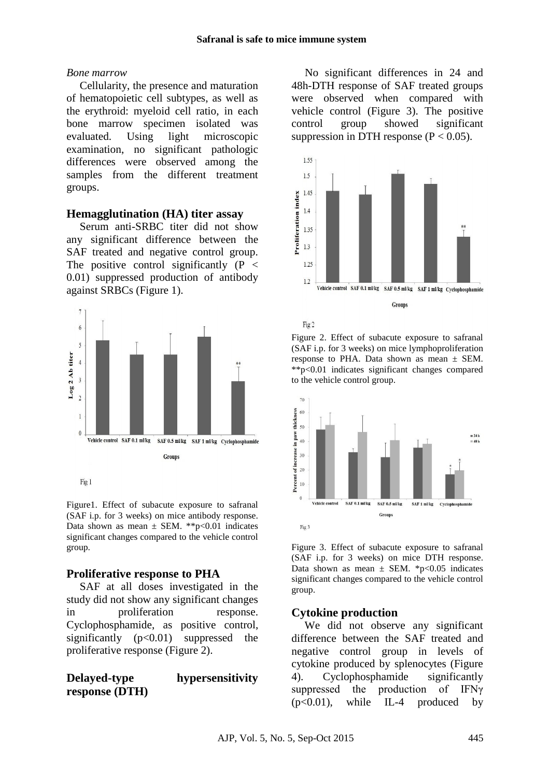Fig 2

#### *Bone marrow*

Cellularity, the presence and maturation of hematopoietic cell subtypes, as well as the erythroid: myeloid cell ratio, in each bone marrow specimen isolated was evaluated. Using light microscopic examination, no significant pathologic differences were observed among the samples from the different treatment groups.

## **Hemagglutination (HA) titer assay**

Serum anti-SRBC titer did not show any significant difference between the SAF treated and negative control group. The positive control significantly  $(P \leq$ 0.01) suppressed production of antibody against SRBCs (Figure 1).



Figure1. Effect of subacute exposure to safranal (SAF i.p. for 3 weeks) on mice antibody response. Data shown as mean  $\pm$  SEM. \*\*p<0.01 indicates significant changes compared to the vehicle control group.

## **Proliferative response to PHA**

SAF at all doses investigated in the study did not show any significant changes in proliferation response. Cyclophosphamide, as positive control, significantly  $(p<0.01)$  suppressed the proliferative response (Figure 2).

**Delayed-type hypersensitivity response (DTH)**

No significant differences in 24 and 48h-DTH response of SAF treated groups were observed when compared with vehicle control (Figure 3). The positive control group showed significant suppression in DTH response  $(P < 0.05)$ .



Figure 2. Effect of subacute exposure to safranal (SAF i.p. for 3 weeks) on mice lymphoproliferation response to PHA. Data shown as mean ± SEM. \*\*p<0.01 indicates significant changes compared to the vehicle control group.



Figure 3. Effect of subacute exposure to safranal (SAF i.p. for 3 weeks) on mice DTH response. Data shown as mean  $\pm$  SEM. \*p<0.05 indicates significant changes compared to the vehicle control group.

## **Cytokine production**

We did not observe any significant difference between the SAF treated and negative control group in levels of cytokine produced by splenocytes (Figure 4). Cyclophosphamide significantly suppressed the production of IFNγ  $(p<0.01)$ , while IL-4 produced by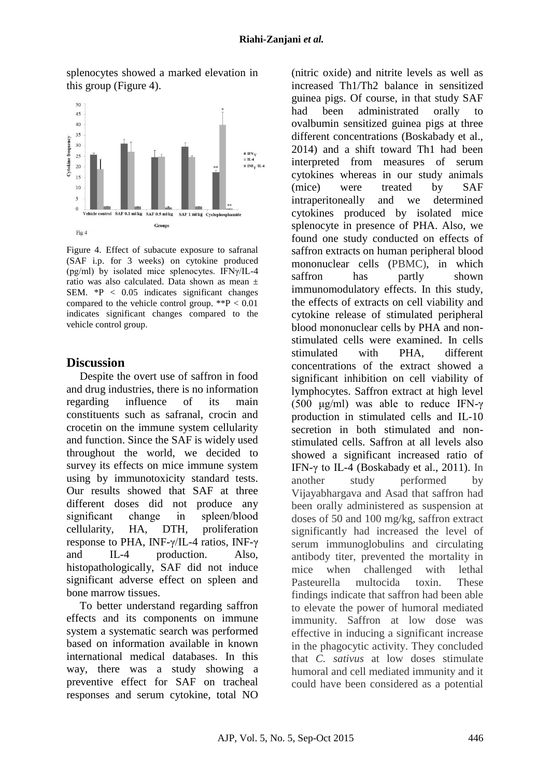splenocytes showed a marked elevation in this group (Figure 4).



Figure 4. Effect of subacute exposure to safranal (SAF i.p. for 3 weeks) on cytokine produced (pg/ml) by isolated mice splenocytes. IFNγ/IL-4 ratio was also calculated. Data shown as mean ± SEM. \*P < 0.05 indicates significant changes compared to the vehicle control group.  $*P < 0.01$ indicates significant changes compared to the vehicle control group.

## **Discussion**

Despite the overt use of saffron in food and drug industries, there is no information regarding influence of its main constituents such as safranal, crocin and crocetin on the immune system cellularity and function. Since the SAF is widely used throughout the world, we decided to survey its effects on mice immune system using by immunotoxicity standard tests. Our results showed that SAF at three different doses did not produce any significant change in spleen/blood cellularity, HA, DTH, proliferation response to PHA, INF-γ/IL-4 ratios, INF-γ and IL-4 production. Also, histopathologically, SAF did not induce significant adverse effect on spleen and bone marrow tissues.

To better understand regarding saffron effects and its components on immune system a systematic search was performed based on information available in known international medical databases. In this way, there was a study showing a preventive effect for SAF on tracheal responses and serum cytokine, total NO (nitric oxide) and nitrite levels as well as increased Th1/Th2 balance in sensitized guinea pigs. Of course, in that study SAF had been administrated orally to ovalbumin sensitized guinea pigs at three different concentrations (Boskabady et al., 2014) and a shift toward Th1 had been interpreted from measures of serum cytokines whereas in our study animals (mice) were treated by SAF intraperitoneally and we determined cytokines produced by isolated mice splenocyte in presence of PHA. Also, we found one study conducted on effects of saffron extracts on human peripheral blood mononuclear cells (PBMC), in which saffron has partly shown immunomodulatory effects. In this study, the effects of extracts on cell viability and cytokine release of stimulated peripheral blood mononuclear cells by PHA and nonstimulated cells were examined. In cells stimulated with PHA different concentrations of the extract showed a significant inhibition on cell viability of lymphocytes. Saffron extract at high level (500  $\mu$ g/ml) was able to reduce IFN- $\gamma$ production in stimulated cells and IL-10 secretion in both stimulated and nonstimulated cells. Saffron at all levels also showed a significant increased ratio of IFN- $\gamma$  to IL-4 (Boskabady et al., 2011). In another study performed by Vijayabhargava and Asad that saffron had been orally administered as suspension at doses of 50 and 100 mg/kg, saffron extract significantly had increased the level of serum immunoglobulins and circulating antibody titer, prevented the mortality in mice when challenged with lethal Pasteurella multocida toxin. These findings indicate that saffron had been able to elevate the power of humoral mediated immunity. Saffron at low dose was effective in inducing a significant increase in the phagocytic activity. They concluded that *C. sativus* at low doses stimulate humoral and cell mediated immunity and it could have been considered as a potential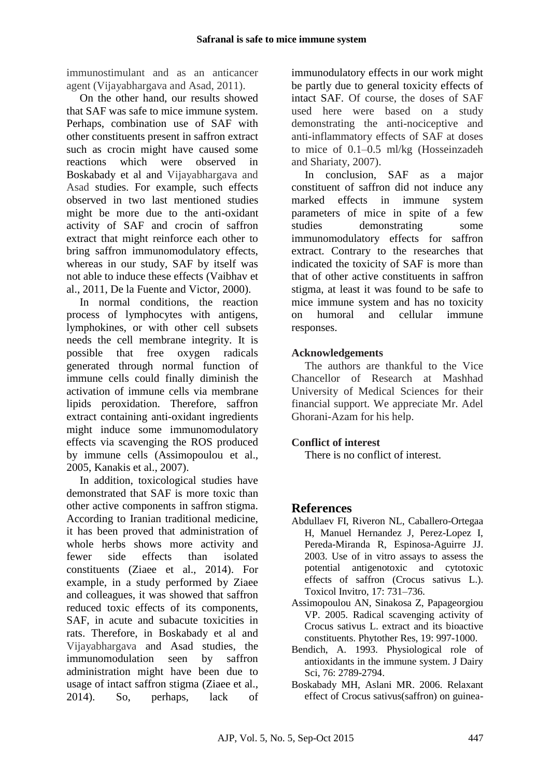immunostimulant and as an anticancer agent (Vijayabhargava and Asad, 2011).

On the other hand, our results showed that SAF was safe to mice immune system. Perhaps, combination use of SAF with other constituents present in saffron extract such as crocin might have caused some reactions which were observed in Boskabady et al and Vijayabhargava and Asad studies. For example, such effects observed in two last mentioned studies might be more due to the anti-oxidant activity of SAF and crocin of saffron extract that might reinforce each other to bring saffron immunomodulatory effects, whereas in our study, SAF by itself was not able to induce these effects (Vaibhav et al., 2011, De la Fuente and Victor, 2000).

In normal conditions, the reaction process of lymphocytes with antigens, lymphokines, or with other cell subsets needs the cell membrane integrity. It is possible that free oxygen radicals generated through normal function of immune cells could finally diminish the activation of immune cells via membrane lipids peroxidation. Therefore, saffron extract containing anti-oxidant ingredients might induce some immunomodulatory effects via scavenging the ROS produced by immune cells (Assimopoulou et al., 2005, Kanakis et al., 2007).

In addition, toxicological studies have demonstrated that SAF is more toxic than other active components in saffron stigma. According to Iranian traditional medicine, it has been proved that administration of whole herbs shows more activity and fewer side effects than isolated constituents (Ziaee et al., 2014). For example, in a study performed by Ziaee and colleagues, it was showed that saffron reduced toxic effects of its components, SAF, in acute and subacute toxicities in rats. Therefore, in Boskabady et al and Vijayabhargava and Asad studies, the immunomodulation seen by saffron administration might have been due to usage of intact saffron stigma (Ziaee et al., 2014). So, perhaps, lack of

immunodulatory effects in our work might be partly due to general toxicity effects of intact SAF. Of course, the doses of SAF used here were based on a study demonstrating the anti-nociceptive and anti-inflammatory effects of SAF at doses to mice of 0.1–0.5 ml/kg (Hosseinzadeh and Shariaty, 2007).

In conclusion, SAF as a major constituent of saffron did not induce any marked effects in immune system parameters of mice in spite of a few studies demonstrating some immunomodulatory effects for saffron extract. Contrary to the researches that indicated the toxicity of SAF is more than that of other active constituents in saffron stigma, at least it was found to be safe to mice immune system and has no toxicity on humoral and cellular immune responses.

## **Acknowledgements**

The authors are thankful to the Vice Chancellor of Research at Mashhad University of Medical Sciences for their financial support. We appreciate Mr. Adel Ghorani-Azam for his help.

## **Conflict of interest**

There is no conflict of interest.

# **References**

- Abdullaev FI, Riveron NL, Caballero-Ortegaa H, Manuel Hernandez J, Perez-Lopez I, Pereda-Miranda R, Espinosa-Aguirre JJ. 2003. Use of in vitro assays to assess the potential antigenotoxic and cytotoxic effects of saffron (Crocus sativus L.). Toxicol Invitro, 17: 731–736.
- Assimopoulou AN, Sinakosa Z, Papageorgiou VP. 2005. Radical scavenging activity of Crocus sativus L. extract and its bioactive constituents. Phytother Res, 19: 997-1000.
- Bendich, A. 1993. Physiological role of antioxidants in the immune system. J Dairy Sci, 76: 2789-2794.
- Boskabady MH, Aslani MR. 2006. Relaxant effect of Crocus sativus(saffron) on guinea-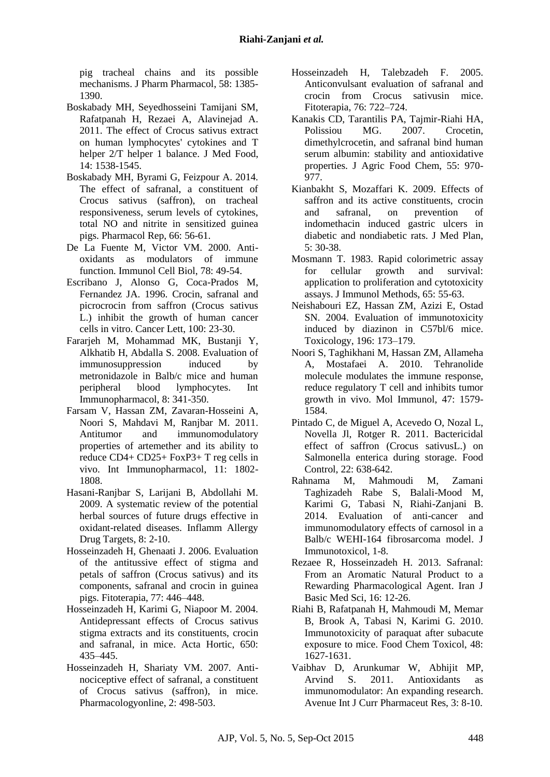pig tracheal chains and its possible mechanisms. J Pharm Pharmacol, 58: 1385- 1390.

- Boskabady MH, Seyedhosseini Tamijani SM, Rafatpanah H, Rezaei A, Alavinejad A. 2011. The effect of Crocus sativus extract on human lymphocytes' cytokines and T helper 2/T helper 1 balance. J Med Food, 14: 1538-1545.
- Boskabady MH, Byrami G, Feizpour A. 2014. The effect of safranal, a constituent of Crocus sativus (saffron), on tracheal responsiveness, serum levels of cytokines, total NO and nitrite in sensitized guinea pigs. Pharmacol Rep, 66: 56-61.
- De La Fuente M, Victor VM. 2000. Antioxidants as modulators of immune function. Immunol Cell Biol, 78: 49-54.
- Escribano J, Alonso G, Coca-Prados M, Fernandez JA. 1996. Crocin, safranal and picrocrocin from saffron (Crocus sativus L.) inhibit the growth of human cancer cells in vitro. Cancer Lett, 100: 23-30.
- Fararjeh M, Mohammad MK, Bustanji Y, Alkhatib H, Abdalla S. 2008. Evaluation of immunosuppression induced by metronidazole in Balb/c mice and human peripheral blood lymphocytes. Int Immunopharmacol, 8: 341-350.
- Farsam V, Hassan ZM, Zavaran-Hosseini A, Noori S, Mahdavi M, Ranjbar M. 2011. Antitumor and immunomodulatory properties of artemether and its ability to reduce CD4+ CD25+ FoxP3+ T reg cells in vivo. Int Immunopharmacol, 11: 1802- 1808.
- Hasani-Ranjbar S, Larijani B, Abdollahi M. 2009. A systematic review of the potential herbal sources of future drugs effective in oxidant-related diseases. Inflamm Allergy Drug Targets, 8: 2-10.
- Hosseinzadeh H, Ghenaati J. 2006. Evaluation of the antitussive effect of stigma and petals of saffron (Crocus sativus) and its components, safranal and crocin in guinea pigs. Fitoterapia, 77: 446–448.
- Hosseinzadeh H, Karimi G, Niapoor M. 2004. Antidepressant effects of Crocus sativus stigma extracts and its constituents, crocin and safranal, in mice. Acta Hortic, 650: 435–445.
- Hosseinzadeh H, Shariaty VM. 2007. Antinociceptive effect of safranal, a constituent of Crocus sativus (saffron), in mice. Pharmacologyonline, 2: 498-503.
- Hosseinzadeh H, Talebzadeh F. 2005. Anticonvulsant evaluation of safranal and crocin from Crocus sativusin mice. Fitoterapia, 76: 722–724.
- Kanakis CD, Tarantilis PA, Tajmir-Riahi HA, Polissiou MG. 2007. Crocetin, dimethylcrocetin, and safranal bind human serum albumin: stability and antioxidative properties. J Agric Food Chem, 55: 970- 977.
- Kianbakht S, Mozaffari K. 2009. Effects of saffron and its active constituents, crocin and safranal, on prevention of indomethacin induced gastric ulcers in diabetic and nondiabetic rats. J Med Plan, 5: 30-38.
- Mosmann T. 1983. Rapid colorimetric assay for cellular growth and survival: application to proliferation and cytotoxicity assays. J Immunol Methods, 65: 55-63.
- Neishabouri EZ, Hassan ZM, Azizi E, Ostad SN. 2004. Evaluation of immunotoxicity induced by diazinon in C57bl/6 mice. Toxicology, 196: 173–179.
- Noori S, Taghikhani M, Hassan ZM, Allameha A, Mostafaei A. 2010. Tehranolide molecule modulates the immune response, reduce regulatory T cell and inhibits tumor growth in vivo. Mol Immunol, 47: 1579- 1584.
- Pintado C, de Miguel A, Acevedo O, Nozal L, Novella Jl, Rotger R. 2011. Bactericidal effect of saffron (Crocus sativusL.) on Salmonella enterica during storage. Food Control, 22: 638-642.
- Rahnama M, Mahmoudi M, Zamani Taghizadeh Rabe S, Balali-Mood M, Karimi G, Tabasi N, Riahi-Zanjani B. 2014. Evaluation of anti-cancer and immunomodulatory effects of carnosol in a Balb/c WEHI-164 fibrosarcoma model. J Immunotoxicol, 1-8.
- Rezaee R, Hosseinzadeh H. 2013. Safranal: From an Aromatic Natural Product to a Rewarding Pharmacological Agent. Iran J Basic Med Sci, 16: 12-26.
- Riahi B, Rafatpanah H, Mahmoudi M, Memar B, Brook A, Tabasi N, Karimi G. 2010. Immunotoxicity of paraquat after subacute exposure to mice. Food Chem Toxicol, 48: 1627-1631.
- Vaibhav D, Arunkumar W, Abhijit MP, Arvind S. 2011. Antioxidants as immunomodulator: An expanding research. Avenue Int J Curr Pharmaceut Res, 3: 8-10.